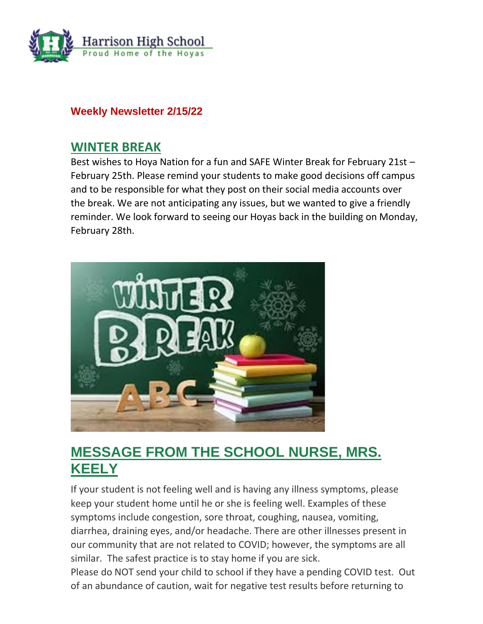

#### **Weekly Newsletter 2/15/22**

### **WINTER BREAK**

Best wishes to Hoya Nation for a fun and SAFE Winter Break for February 21st – February 25th. Please remind your students to make good decisions off campus and to be responsible for what they post on their social media accounts over the break. We are not anticipating any issues, but we wanted to give a friendly reminder. We look forward to seeing our Hoyas back in the building on Monday, February 28th.



# **MESSAGE FROM THE SCHOOL NURSE, MRS. KEELY**

If your student is not feeling well and is having any illness symptoms, please keep your student home until he or she is feeling well. Examples of these symptoms include congestion, sore throat, coughing, nausea, vomiting, diarrhea, draining eyes, and/or headache. There are other illnesses present in our community that are not related to COVID; however, the symptoms are all similar. The safest practice is to stay home if you are sick.

Please do NOT send your child to school if they have a pending COVID test. Out of an abundance of caution, wait for negative test results before returning to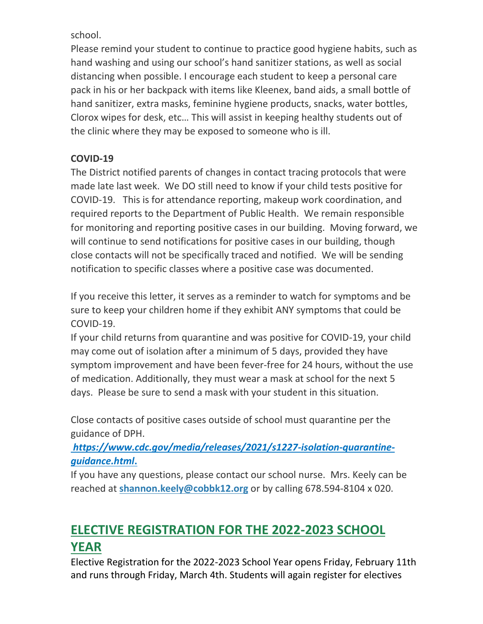school.

Please remind your student to continue to practice good hygiene habits, such as hand washing and using our school's hand sanitizer stations, as well as social distancing when possible. I encourage each student to keep a personal care pack in his or her backpack with items like Kleenex, band aids, a small bottle of hand sanitizer, extra masks, feminine hygiene products, snacks, water bottles, Clorox wipes for desk, etc… This will assist in keeping healthy students out of the clinic where they may be exposed to someone who is ill.

#### **COVID-19**

The District notified parents of changes in contact tracing protocols that were made late last week. We DO still need to know if your child tests positive for COVID-19. This is for attendance reporting, makeup work coordination, and required reports to the Department of Public Health. We remain responsible for monitoring and reporting positive cases in our building. Moving forward, we will continue to send notifications for positive cases in our building, though close contacts will not be specifically traced and notified. We will be sending notification to specific classes where a positive case was documented.

If you receive this letter, it serves as a reminder to watch for symptoms and be sure to keep your children home if they exhibit ANY symptoms that could be COVID-19.

If your child returns from quarantine and was positive for COVID-19, your child may come out of isolation after a minimum of 5 days, provided they have symptom improvement and have been fever-free for 24 hours, without the use of medication. Additionally, they must wear a mask at school for the next 5 days. Please be sure to send a mask with your student in this situation.

Close contacts of positive cases outside of school must quarantine per the guidance of DPH.

#### *[https://www.cdc.gov/media/releases/2021/s1227-isolation-quarantine](http://url503.cobbk12.org/ls/click?upn=oq5wnnHoD1NAxpT8rNAGXCLLhpNrxH6XiyzDAN4vgIFwAv6SHWvfAUrjGgolLLHZFoXqbg31It-2BtHManDDyx-2F0T3EAVqYgd-2BjLj7mZvZB8tmFeJaaSh5YcVv76eis8pzJYIc_W-2BfLYUoUwwI1tuGClKRhhPOSepcZIFoXnUIMjiA717kQ1i13BNQTwwJ9cl-2BWArXr6-2FDxoCbNFrRaplJKtN7fZ3CI1-2BfP0IOc1iCmImo8JsuCuSj2bHUiK-2BxLyEeTnbk5VH10kLCahJenea-2Bp3Vwg1upjW-2Fge8LC6eCGyC6KPm6-2BP1Ebc3eODkGQruKrmHe0gwc-2FB6M9PtWEt-2Bik50qNDbq-2FFdb9IcR2zJI3XYuKa2hc-2B-2B8Zpzot2PJ2dHt3Yiaa3YYqJQyODG-2BlbvhBDW7A0og-3D-3D)[guidance.html](http://url503.cobbk12.org/ls/click?upn=oq5wnnHoD1NAxpT8rNAGXCLLhpNrxH6XiyzDAN4vgIFwAv6SHWvfAUrjGgolLLHZFoXqbg31It-2BtHManDDyx-2F0T3EAVqYgd-2BjLj7mZvZB8tmFeJaaSh5YcVv76eis8pzJYIc_W-2BfLYUoUwwI1tuGClKRhhPOSepcZIFoXnUIMjiA717kQ1i13BNQTwwJ9cl-2BWArXr6-2FDxoCbNFrRaplJKtN7fZ3CI1-2BfP0IOc1iCmImo8JsuCuSj2bHUiK-2BxLyEeTnbk5VH10kLCahJenea-2Bp3Vwg1upjW-2Fge8LC6eCGyC6KPm6-2BP1Ebc3eODkGQruKrmHe0gwc-2FB6M9PtWEt-2Bik50qNDbq-2FFdb9IcR2zJI3XYuKa2hc-2B-2B8Zpzot2PJ2dHt3Yiaa3YYqJQyODG-2BlbvhBDW7A0og-3D-3D)***.**

If you have any questions, please contact our school nurse. Mrs. Keely can be reached at **[shannon.keely@cobbk12.org](mailto:shannon.keely@cobbk12.org)** or by calling 678.594-8104 x 020.

## **ELECTIVE REGISTRATION FOR THE 2022-2023 SCHOOL YEAR**

Elective Registration for the 2022-2023 School Year opens Friday, February 11th and runs through Friday, March 4th. Students will again register for electives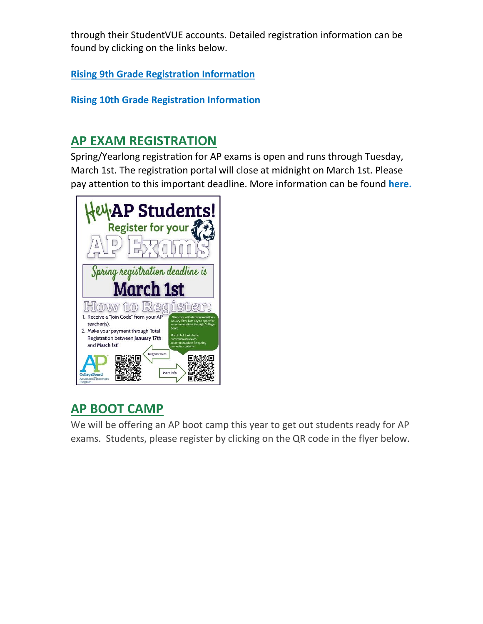through their StudentVUE accounts. Detailed registration information can be found by clicking on the links below.

**[Rising 9th Grade Registration Information](http://url503.cobbk12.org/ls/click?upn=G8An3K6JlHsR8QtKBFuzdogXPJqD3Uz2QqY8s2OfxygIJ0Q5sG00ehaPVu7NH26sZFj5jL03Vpb9f415qQXSZ5IaMApRnn-2FZvHQrv9mRYn6cIVSD2p-2B9B1YnIj2RXvsIIltSbI8AtJFjSq1nhiMNNVhorPTQAYL0wD0ESsNPTAr1wxuCnz6is-2F76AADUItD4cqTg_W-2BfLYUoUwwI1tuGClKRhhPOSepcZIFoXnUIMjiA717kQ1i13BNQTwwJ9cl-2BWArXr6-2FDxoCbNFrRaplJKtN7fZ3CI1-2BfP0IOc1iCmImo8JsuCuSj2bHUiK-2BxLyEeTnbk5jQNHV4q-2FkLwxh8DkhfFfYT8i36rnaywCWv7TkoSQResj7VofXQdlgubEf9RQq0cJf4gAw6xUIRtxkgpn2AQ58ZK6CP5zvJgZLEjz9XXRojss-2BLgs8g13iQ-2Fj5Jvn-2FZ0kioTcrbcVc3zmJH4K6Krmfw-3D-3D)**

**[Rising 10th Grade Registration Information](http://url503.cobbk12.org/ls/click?upn=G8An3K6JlHsR8QtKBFuzdogXPJqD3Uz2QqY8s2OfxygIJ0Q5sG00ehaPVu7NH26sZFj5jL03Vpb9f415qQXSZ5IaMApRnn-2FZvHQrv9mRYn6N4AYHDgxyyGerVecwGBlEfwGfxbgDY413dhuIVPpm1xpqxDtsbRczr-2F7D6O1Z3DtAHJrL28vRYQAX1kVjKZNXw5Du_W-2BfLYUoUwwI1tuGClKRhhPOSepcZIFoXnUIMjiA717kQ1i13BNQTwwJ9cl-2BWArXr6-2FDxoCbNFrRaplJKtN7fZ3CI1-2BfP0IOc1iCmImo8JsuCuSj2bHUiK-2BxLyEeTnbk5Vczp1CIX2aGYm2zXIiZmyANnbBFl82baVOECEocUxBmM4rroQuFfiqMqvcL1uvB7yLMPg4JI769Wywiy6bwJQ638jDp-2Frx-2FeneRCX-2F0SoWScwEkzdEgHfYwn-2FdYm6SQXtHXO46heXETPDcY0Scrh7Q-3D-3D)**

## **AP EXAM REGISTRATION**

Spring/Yearlong registration for AP exams is open and runs through Tuesday, March 1st. The registration portal will close at midnight on March 1st. Please pay attention to this important deadline. More information can be found **[here.](http://url503.cobbk12.org/ls/click?upn=oq5wnnHoD1NAxpT8rNAGXMR1eG7MJW44UQRvGTy3TspC5USH35kTcv6Huq2B0mRCpVzlOxvi8AwPc3mhaC6QZyj3SZ3fgofACCQFhvCijAc-3DmAeO_W-2BfLYUoUwwI1tuGClKRhhPOSepcZIFoXnUIMjiA717kQ1i13BNQTwwJ9cl-2BWArXr6-2FDxoCbNFrRaplJKtN7fZ3CI1-2BfP0IOc1iCmImo8JsuCuSj2bHUiK-2BxLyEeTnbk5EVuYyT9RWCsBtII2nWYTVrhCH50EeWMStTWDyI6zAS0Mu6g5Ig5dxTMUa9bfEMFF6J4JSkGfYD0mfIL4h2qLa-2FWnpWauNo-2F7akydhiazoD1PKhHza-2BUgugrmlnURiT-2BIFiflbVuR2oDb8lPbfURDJQ-3D-3D)**



## **AP BOOT CAMP**

We will be offering an AP boot camp this year to get out students ready for AP exams. Students, please register by clicking on the QR code in the flyer below.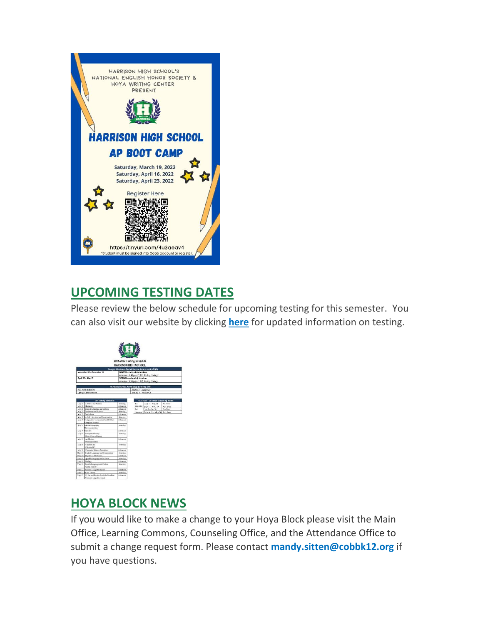

## **UPCOMING TESTING DATES**

Please review the below schedule for upcoming testing for this semester. You can also visit our website by clicking **[here](http://url503.cobbk12.org/ls/click?upn=lifxRKNE4qaF4JWLXkbAsjh7ycX9GyI4V6qRbFFivNpp-2B3syQ-2BF1CRoHOrZqfnEtQcfUXEzQ4WYketaNTGV348SK885HARn4hFsQPUpzXyljIvqhTOrFZNMTWBYGN8YGTbsVq49WmIKH0Y0l0i5WIA-3D-3DZybH_W-2BfLYUoUwwI1tuGClKRhhPOSepcZIFoXnUIMjiA717kQ1i13BNQTwwJ9cl-2BWArXr6-2FDxoCbNFrRaplJKtN7fZ3CI1-2BfP0IOc1iCmImo8JsuCuSj2bHUiK-2BxLyEeTnbk570q9AYnmQWy7Mof15oCnP1IeBs5KA-2FjyV6vpBvNJaLBcBUBjEWaHQAsjij0at5gnNjtuIkkZnFMnSBWJnWNj5eMSTuP3ExL62HtWEZb-2Fqnog1HC9ReSsFzBjSecNojIeDYpOL-2FeDoiT3S56ueRs2CA-3D-3D)** for updated information on testing.



## **HOYA BLOCK NEWS**

If you would like to make a change to your Hoya Block please visit the Main Office, Learning Commons, Counseling Office, and the Attendance Office to submit a change request form. Please contact **[mandy.sitten@cobbk12.org](mailto:mandy.sitten@cobbk12.org)** if you have questions.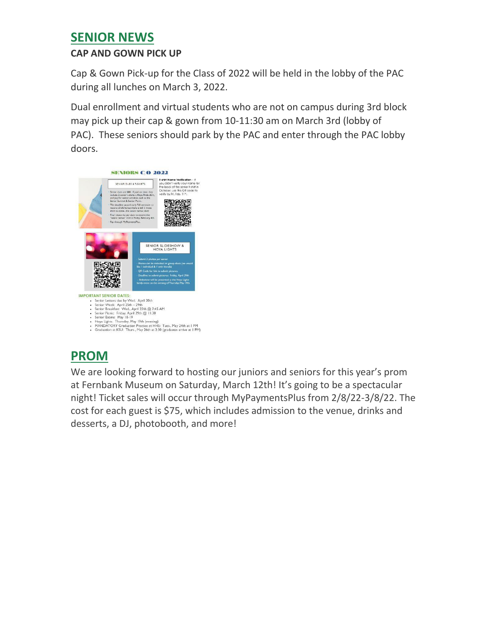## **SENIOR NEWS**

#### **CAP AND GOWN PICK UP**

Cap & Gown Pick-up for the Class of 2022 will be held in the lobby of the PAC during all lunches on March 3, 2022.

Dual enrollment and virtual students who are not on campus during 3rd block may pick up their cap & gown from 10-11:30 am on March 3rd (lobby of PAC). These seniors should park by the PAC and enter through the PAC lobby doors.



## **PROM**

We are looking forward to hosting our juniors and seniors for this year's prom at Fernbank Museum on Saturday, March 12th! It's going to be a spectacular night! Ticket sales will occur through MyPaymentsPlus from 2/8/22-3/8/22. The cost for each guest is \$75, which includes admission to the venue, drinks and desserts, a DJ, photobooth, and more!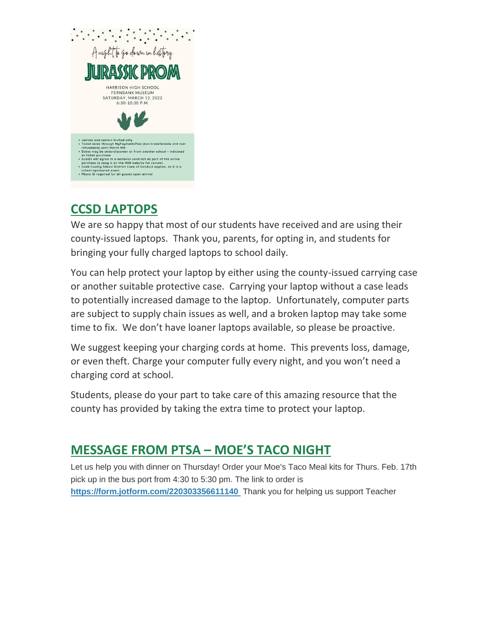

# **CCSD LAPTOPS**

We are so happy that most of our students have received and are using their county-issued laptops. Thank you, parents, for opting in, and students for bringing your fully charged laptops to school daily.

You can help protect your laptop by either using the county-issued carrying case or another suitable protective case. Carrying your laptop without a case leads to potentially increased damage to the laptop. Unfortunately, computer parts are subject to supply chain issues as well, and a broken laptop may take some time to fix. We don't have loaner laptops available, so please be proactive.

We suggest keeping your charging cords at home. This prevents loss, damage, or even theft. Charge your computer fully every night, and you won't need a charging cord at school.

Students, please do your part to take care of this amazing resource that the county has provided by taking the extra time to protect your laptop.

## **MESSAGE FROM PTSA – MOE'S TACO NIGHT**

Let us help you with dinner on Thursday! Order your Moe's Taco Meal kits for Thurs. Feb. 17th pick up in the bus port from 4:30 to 5:30 pm. The link to order is **[https://form.jotform.com/220303356611140](http://url503.cobbk12.org/ls/click?upn=Q-2BKaVIKfS2AqG1NntRWXIqe3VLrAF6HtQZXW1Eop37-2BHD1-2FJeBI8RcsNCzxppcBz0DlAzN5HVHa4jFBsYhEq-2FZNl82MRFgpidW-2BDvebkdPlxL4GAkz-2BomuqR3TfAd9sWaxBy4M7gjqOnOxWJml1Q-2F7q3utqC7MrcE3iKImEejS5kDJyTt1tkTfoHYkfIw-2BPtr0W9JFV19NOhB6CAMANpzkM4BZ1VZi-2FVXMYC7HpphcDj7ceYVMrtmpvx4CLoLad29WSGJP06NI3h0xZ6ILZXNZ6-2FLc4DjHFuKQ3NzTF3j4jhCkRr4JvsExrkL0kc1cexyIpanvavd1Tf7vih3bOJY9M3BxxRLTBsSLXFLv6hAPiyfeSywIu-2BB63nfMlgxmfrPGeGQc6Fd5FcequcY5Ojm3Ghsv6KLV-2Fc-2FuWEnqLKqYRq-2BBtoHCJLUD4GHhyVEIKstg-2F9SX0Sw4cxuvY7iPvSmPE76rnipUWjByuHMs7pDykShPNuxG-2FGVOuYBpE2dRg3iIKegGkVeu8RQJKRRnfy-2B3A0A49TP4KhhHNdb-2FTBH-2BY-3D2dOu_W-2BfLYUoUwwI1tuGClKRhhPOSepcZIFoXnUIMjiA717kQ1i13BNQTwwJ9cl-2BWArXr6-2FDxoCbNFrRaplJKtN7fZ3CI1-2BfP0IOc1iCmImo8JsuCuSj2bHUiK-2BxLyEeTnbk5oMr7anauQSk-2FTKmAISz2F-2BTonzgoooKNkMxvohJAHYbwa-2B9sOcbwC5yk1yhdNXH1vqx88FBCYLiMNRvqajevvoY83m8AYv6Gf-2FXZ87Zv1NHD4shbTpTOi8q0uzo8RaPHM2un3Ts037pc5sKBAfzGmg-3D-3D)** Thank you for helping us support Teacher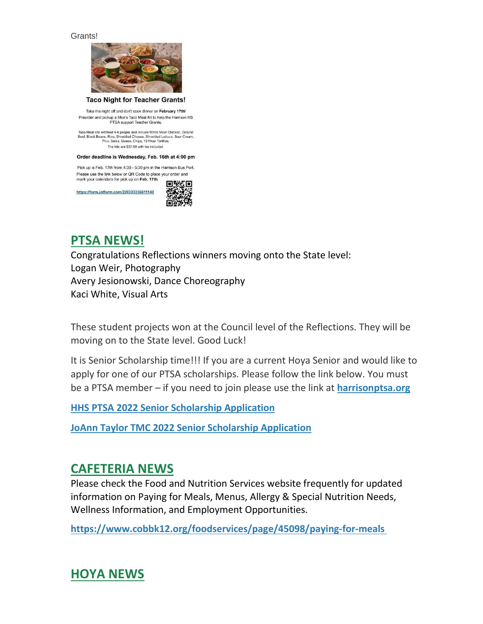#### Grants!



**Taco Night for Teacher Grants!** 

Take the night off and don't cook dinner on February 17th! Preorder and pickup a Moe's Taco Meal Kit to help the Harrison HS PTSA support Teacher Grants.

Taco Meal kits will feed 4-6 people and include White Meat Chicken, Ground Beef, Black Beans, Rice, Shredded Cheese, Shredded Lettuce, Sour Cream<br>Pico, Salsa, Queso, Chips, 12 Flour Tortillas. The kits are \$37.09 with tax included.

#### Order deadline is Wednesday, Feb. 16th at 4:00 pm

Pick up is Feb. 17th from 4:30 - 5:30 pm in the Harrison Bus Port. Please use the link below or QR Code to place your order and mark your calendars for pick up on Feb. 17th.

https://form.jotform.com/220303356611140



## **PTSA NEWS!**

Congratulations Reflections winners moving onto the State level: Logan Weir, Photography Avery Jesionowski, Dance Choreography Kaci White, Visual Arts

These student projects won at the Council level of the Reflections. They will be moving on to the State level. Good Luck!

It is Senior Scholarship time!!! If you are a current Hoya Senior and would like to apply for one of our PTSA scholarships. Please follow the link below. You must be a PTSA member – if you need to join please use the link at **[harrisonptsa.org](http://url503.cobbk12.org/ls/click?upn=Q-2BKaVIKfS2AqG1NntRWXIqe3VLrAF6HtQZXW1Eop37-2BHD1-2FJeBI8RcsNCzxppcBzh97LFtBFPh4Lp4eCV5tRTGMs0m439tWj1z9kZ5OYGDpM-2FZeYe-2BgNbkbuF1VwC3ryc5GuiViRLa0Zx745U07PfHpbS8a-2BQ46q-2FBFarvs380sZb5gqRPbdYrSIegvzVdr-2FUjmZIFXuC3-2BX0Pxa7mCrLBcoBFTDAYQrXyvzHtJXPWMiOOy-2B9mn2CoLCBnLco23TNLXEmYKgS-2F7q9OITYjaPUBhraHopomjLhASE-2BLv3cxhqNkBrw1XheihqRU4gANvSWY56jZEF6sARQ-2B6FYDq4R85Yr-2FrnkGz3zUC5ABLWWWfz0dtp4wB1jJCwEe9fY9uHPLNmMnJ1VegwSetFEPmgKr-2BkkzXt8oOwCebWqBvg3Y8CvrOAsZpUmg2oYLfOcwJZqywLIdN0rm2uhoHiuFb9i7LyvS2wKXdEbTz0sFOD4yW4WJHxYArKFtQRV7k1gpsUxMxHmreHYKcUDLxbfaZ3rmRSki-2BQivxn-2F2UGhEhh8-2Fs-3DeynX_W-2BfLYUoUwwI1tuGClKRhhPOSepcZIFoXnUIMjiA717kQ1i13BNQTwwJ9cl-2BWArXr6-2FDxoCbNFrRaplJKtN7fZ3CI1-2BfP0IOc1iCmImo8JsuCuSj2bHUiK-2BxLyEeTnbk54KbagtOOZPWGR7I48h-2BBmbL5KleKsb1onW2bYqll2OCf-2B7p729Yk-2Fcv1clhNAkApjblBBpoxua-2FcD98Pro7xqGfAVjNJh5k6m-2BlSCOFle8Nb5cYjbE0mbt8dMMVQbtgKQuYhUgKIkWzLaLE3oL63Tg-3D-3D)**

**[HHS PTSA 2022 Senior Scholarship Application](http://url503.cobbk12.org/ls/click?upn=Q-2BKaVIKfS2AqG1NntRWXIqe3VLrAF6HtQZXW1Eop37-2BHD1-2FJeBI8RcsNCzxppcBz0DlAzN5HVHa4jFBsYhEq-2FataWMFyA44fuo7sslpVwUgLZt-2FFvLGf0pjaeU4Lk7Q5mUygfxoM0MAuUNxiXv8e3P8jWeOoaoLR4MxXjdrZLinZ9iUsI63yKKq5rofRAQBhhctYWNXQ-2F10Z2Ta5szG-2BFo4xT3kTMYUI41FkeoObRWQ7mQFrDraE6btyqL68HrAok-2BhjvCXHaWicogxCBejyoNclawAojIjRxdw7FlB8gqPaBH0EDbUaUrJLve2ZTvOZ-2FgzPHzbY1OEE3i15sMtO3dnsm9luGcGHuVMVHEJUsRXAB0LoZG-2B8NM6ba9S4FrF2aNd1FfO7GYldTtrm-2B0SX0tF4I6mGH54GtK2T4SpTKZBkdSv3rkiB7xT86BIWwhpndty0sDhUN-2FzQwTnRMwMS8o7NNRpCGQptZnBxM-2FqSVhoRe11f9k0S6zPqdPIKwSQCQQ66iBMB3-2BhW1AZfoRflOd9-2FkOwSl62ViTLgqto9MVjb4Dtdtkva9hmVRDmxu87EWTgkNbs0nrC0qh4F4JmDh-2FJvonE2pxOYBuUMr7Pc8hBJ21XgJSaXEDWa5lBfLuSDP1VpbpUKSQVq-2F668LtXDQ-2BidYLVVwv20gZQzO4eem8c-3D7jlx_W-2BfLYUoUwwI1tuGClKRhhPOSepcZIFoXnUIMjiA717kQ1i13BNQTwwJ9cl-2BWArXr6-2FDxoCbNFrRaplJKtN7fZ3CI1-2BfP0IOc1iCmImo8JsuCuSj2bHUiK-2BxLyEeTnbk53p1Bpak4FWkM1V5A2rynpSp6ULUYUO8X5OoTI7Ofqdy3g4kj-2BHHy7TVIXcUSDVfoGiITMV-2BtkdZAfJP7jm-2B-2FB-2F3uPI-2FF-2Fwq6N7yl6ZpEPYnJYRBjjnbZKazhiRH6Wp3042vrhT9Vg1JP7O4oT3vjIg-3D-3D)**

**[JoAnn Taylor TMC 2022 Senior Scholarship Application](http://url503.cobbk12.org/ls/click?upn=Q-2BKaVIKfS2AqG1NntRWXIqe3VLrAF6HtQZXW1Eop37-2BHD1-2FJeBI8RcsNCzxppcBz0DlAzN5HVHa4jFBsYhEq-2FataWMFyA44fuo7sslpVwUgLZt-2FFvLGf0pjaeU4Lk7Q5mUygfxoM0MAuUNxiXv8e3Ev3vC8qOh82JK0-2B6CtkWSTQZmjLABLEk5gS-2BNMlsLrqwIME-2F62SGxAKFYIoVXg23oLOCj6-2FGOMkIVZRBTbwZZCWgjl-2FZjHNeLJuVuek4h2ZimL-2BCzjRvRIfOp7kOkJyyQFXlxaSBDSKTNM1SZXYI6X-2FfXGoARo3LfifNYrvbr8-2FlFqwF-2BbBYTxp4SDn2FD0bYVpGyJ-2Bg3jU8-2BYV24aQ-2FnPzGBRNa85FoFOaEjTj5YR8rDyNSllGiqAiTXPwrSJ3ETfouv0-2F9K98XrSKdTRRuzop1IXilBnmPhaaAQKFNKlWjts9T6-2FtyL-2FX3WNW7kHBtQbdMtFMBzG95WJ-2FcRuI5u58T5e7l40-2FKcIPcLI-2BdVTvR7UwhS7wTxuESFTqalgCNqtVvG-2BhG1uq3EtWf6oKVKKNIFloajTBRsC2ohGKsJhyLBa2AWrucr2uKmhTwhSyO-2BJ1o3LHy-2B8WQ00oIDV7byQ41mEx045hD-2FNrGaVeBBkeU3SS_W-2BfLYUoUwwI1tuGClKRhhPOSepcZIFoXnUIMjiA717kQ1i13BNQTwwJ9cl-2BWArXr6-2FDxoCbNFrRaplJKtN7fZ3CI1-2BfP0IOc1iCmImo8JsuCuSj2bHUiK-2BxLyEeTnbk5lwsd5LqBHgDGuMqz1bCwqPTWhR-2Bvx5SH62BzLWctRyDPjoldPiLSehi0yCoETIb-2FP1I0Zi4uNRks5KIqzMJp36Kty3Yv-2F1BtX04h16vVFGfcsr2Zow2uN7T-2FQCXtfSaA05vs3rCHzY9FPy7H9ysaXQ-3D-3D)**

## **CAFETERIA NEWS**

Please check the Food and Nutrition Services website frequently for updated information on Paying for Meals, Menus, Allergy & Special Nutrition Needs, Wellness Information, and Employment Opportunities.

**[https://www.cobbk12.org/foodservices/page/45098/paying-for-meals](http://url503.cobbk12.org/ls/click?upn=oq5wnnHoD1NAxpT8rNAGXIgEcF6cFUXUYIe-2B8AO3LVyx4t4OJsNWVhu0iEI2j90fBOcAAqhr4f3pHktzPZuYg83p0mcu7zlRbWoKDhAG9jg-3D_NZU_W-2BfLYUoUwwI1tuGClKRhhPOSepcZIFoXnUIMjiA717kQ1i13BNQTwwJ9cl-2BWArXr6-2FDxoCbNFrRaplJKtN7fZ3CI1-2BfP0IOc1iCmImo8JsuCuSj2bHUiK-2BxLyEeTnbk5xEtgzm1V0Jn-2FJ-2BCp49pNFFHfz7BMpRthGXJY5Kxv-2BFPebSzxtMwALNaev5iYhdvNgpiSMj6jCo-2Fpb0Cu-2B6VXeQbecESNa54WdsfgtDaZ534bdyDrmfg9Cqn4bk1moWpbt34gMQAPO8yl8eyBV-2BqLzQ-3D-3D)**

## **HOYA NEWS**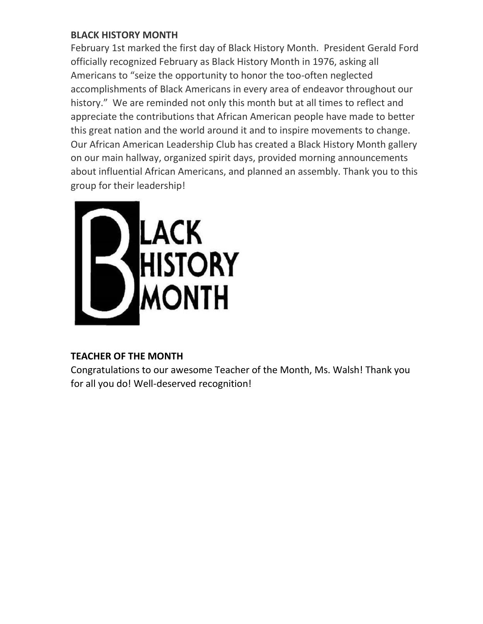#### **BLACK HISTORY MONTH**

February 1st marked the first day of Black History Month. President Gerald Ford officially recognized February as Black History Month in 1976, asking all Americans to "seize the opportunity to honor the too-often neglected accomplishments of Black Americans in every area of endeavor throughout our history." We are reminded not only this month but at all times to reflect and appreciate the contributions that African American people have made to better this great nation and the world around it and to inspire movements to change. Our African American Leadership Club has created a Black History Month gallery on our main hallway, organized spirit days, provided morning announcements about influential African Americans, and planned an assembly. Thank you to this group for their leadership!



#### **TEACHER OF THE MONTH**

Congratulations to our awesome Teacher of the Month, Ms. Walsh! Thank you for all you do! Well-deserved recognition!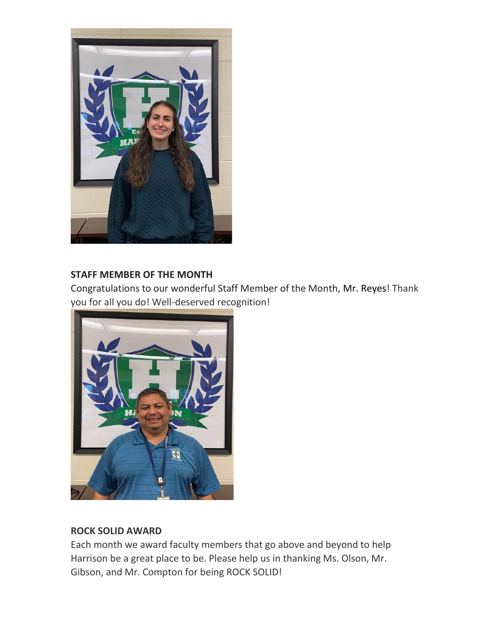

#### **STAFF MEMBER OF THE MONTH**

Congratulations to our wonderful Staff Member of the Month, Mr. Reyes! Thank you for all you do! Well-deserved recognition!



#### **ROCK SOLID AWARD**

Each month we award faculty members that go above and beyond to help Harrison be a great place to be. Please help us in thanking Ms. Olson, Mr. Gibson, and Mr. Compton for being ROCK SOLID!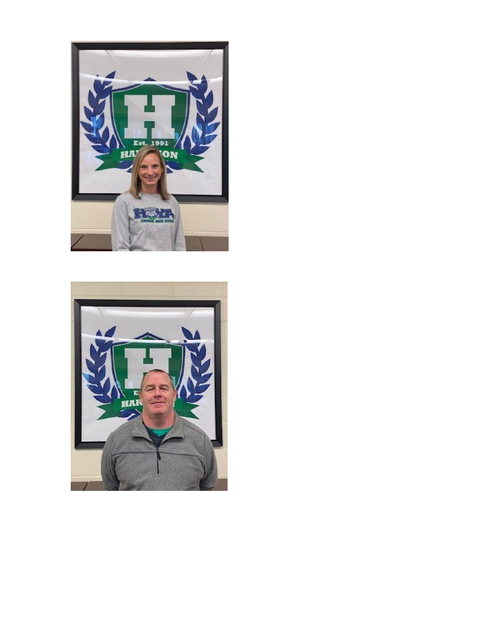

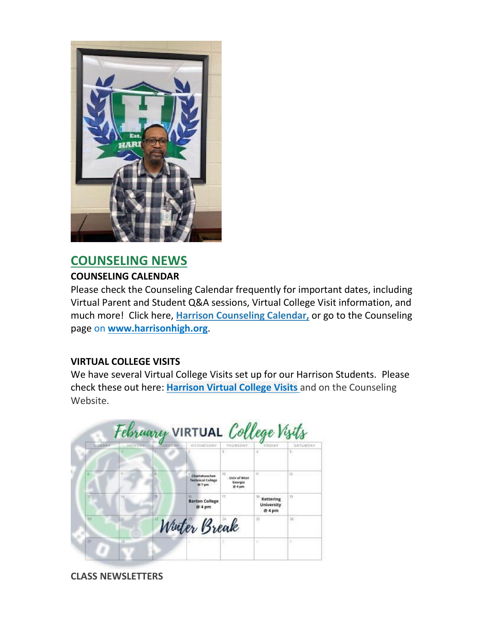

#### **COUNSELING NEWS COUNSELING CALENDAR**

Please check the Counseling Calendar frequently for important dates, including Virtual Parent and Student Q&A sessions, Virtual College Visit information, and much more! Click here, **[Harrison Counseling Calendar,](http://url503.cobbk12.org/ls/click?upn=G8An3K6JlHsR8QtKBFuzdoB1znjZkDc3Km2Sgf1PHVodwV6VgRMiwQQL-2F79BHEQra7DV94YM-2Fu3jRroQrZebB0ICbAiiTSOxf2VOsZ9D5nW8n4m8qqkXdxeSO2hlSA3UyvfMGWbP-2BL0z6gmtleFIjXJmfcH41EVFv2oCj87cm6rZyB8XpGoYTeMfqHO-2FL19z_0w1_W-2BfLYUoUwwI1tuGClKRhhPOSepcZIFoXnUIMjiA717kQ1i13BNQTwwJ9cl-2BWArXr6-2FDxoCbNFrRaplJKtN7fZ3CI1-2BfP0IOc1iCmImo8JsuCuSj2bHUiK-2BxLyEeTnbk5q3ErhxWnwaGNVv4aaWqVdZXQlq1oU-2FXBysDQ-2B3mGEX3SqmeXmLW8j1wgazSvbQjFrOdHP6SaS2Y068EBw2KafFS7RdY-2FjJwfMVPKWmFMC-2BgmuM5WQHbum8OK8nsAuIaNthxo8B-2FH1R-2BSXoT7mFSIqg-3D-3D)** or go to the Counseling page on **[www.harrisonhigh.org](http://url503.cobbk12.org/ls/click?upn=oq5wnnHoD1NAxpT8rNAGXO9pgQjsMrFEdSeXOUfDN1SmFc2KsGzpApGt0h4W-2BnTi3qOMFT0pAhpU4g9jzi2oghIA-2BD5qxCmArcny4yPncCY-3D7_ii_W-2BfLYUoUwwI1tuGClKRhhPOSepcZIFoXnUIMjiA717kQ1i13BNQTwwJ9cl-2BWArXr6-2FDxoCbNFrRaplJKtN7fZ3CI1-2BfP0IOc1iCmImo8JsuCuSj2bHUiK-2BxLyEeTnbk5uaBwtrd8ORVOT-2B59ipvPSNYhgNk3GJVqEX-2BZPaJp6zrjDej4a5CD3a2bf-2FQ9YCDVK8yfgMEv687isjq-2FkSSkMuOh6lM1LStF2ZzJOjiGxouydgPIhEbC-2B-2BsyHqvg-2BM8cIkBnAmuzxYqipFtQE6kToA-3D-3D)**.

#### **VIRTUAL COLLEGE VISITS**

We have several Virtual College Visits set up for our Harrison Students. Please check these out here: **[Harrison Virtual College Visits](http://url503.cobbk12.org/ls/click?upn=G8An3K6JlHsR8QtKBFuzdogXPJqD3Uz2QqY8s2OfxygfiXPa-2BLVg3oKWlcUFgjTffPxwSarE77p-2FOfJTl3QvbpgPiFEQheAZA772IpRJMifiqQmDkS-2BKBGjOIoKGjM7QQDhTGARgZvMYUugThyMfc1u3H422O6jO2zhAvrxBFglXp3F6gpegHyc5A3y-2BtXoarMbtV-2FDS2nSwRHJx513wzw-3D-3DucgO_W-2BfLYUoUwwI1tuGClKRhhPOSepcZIFoXnUIMjiA717kQ1i13BNQTwwJ9cl-2BWArXr6-2FDxoCbNFrRaplJKtN7fZ3CI1-2BfP0IOc1iCmImo8JsuCuSj2bHUiK-2BxLyEeTnbk5cpIOjCN2guYa1WVAsufy-2BrwKZoXbWBGXN8cZemrYtNhdodIpy3cKT0fGYy21NbnHKLf9Sb7zXsP0XaM62XDltwSnxjf3DXDc8dcDoMIcbrWvWj2JepftaB-2BtdjKqVG650ewcShnbYEQlyErX1K6gLA-3D-3D)** and on the Counseling Website.



**CLASS NEWSLETTERS**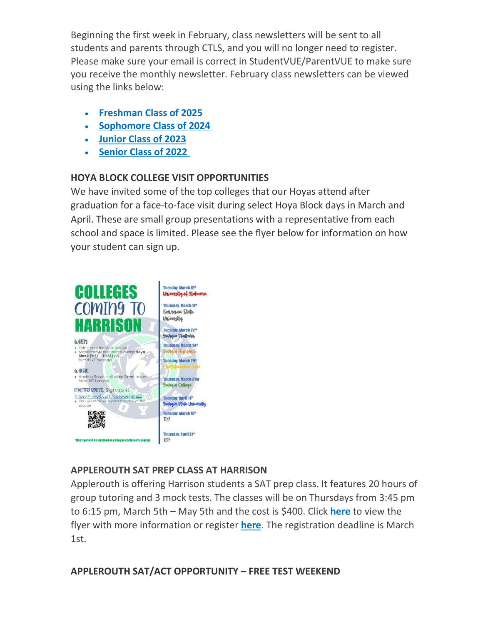Beginning the first week in February, class newsletters will be sent to all students and parents through CTLS, and you will no longer need to register. Please make sure your email is correct in StudentVUE/ParentVUE to make sure you receive the monthly newsletter. February class newsletters can be viewed using the links below:

- **[Freshman Class of 2025](http://url503.cobbk12.org/ls/click?upn=HU5K2q0Fz5ADTGboxPzOzV-2FXL0qE7BYVJk79MoYchrZ53ajsb0iX9IXF6-2FxrILWBti7st-2FroAwljtjbpONXWGw69u03pEAn8dN7Hjv2pBPE-3DaN1j_W-2BfLYUoUwwI1tuGClKRhhPOSepcZIFoXnUIMjiA717kQ1i13BNQTwwJ9cl-2BWArXr6-2FDxoCbNFrRaplJKtN7fZ3CI1-2BfP0IOc1iCmImo8JsuCuSj2bHUiK-2BxLyEeTnbk515yRgZ-2FzICia1BDERzToXZh-2FB1FdojuKswfB5DL10aRDdvh0yR5v5lAqNN3fso4yMCeht1jY-2Bqr80rIhPU7IhJAz4RzzAqDrkq6OVdlsD-2BrEpbkG-2BTvT59ebzljHjyWtnow2Hi5Gf-2Bo-2FYhB8QDeIkw-3D-3D)**
- **[Sophomore Class of 2024](http://url503.cobbk12.org/ls/click?upn=HU5K2q0Fz5ADTGboxPzOzV-2FXL0qE7BYVJk79MoYchrb7GCnaJoKJoPPSn-2BAmTIlHXWAJ3F2sT2upOSxQf1Ihb2GDuOBY8g-2FXu7qfR-2Fqp-2F3KW1nkfNSosf0nsg9BC0rm899eX_W-2BfLYUoUwwI1tuGClKRhhPOSepcZIFoXnUIMjiA717kQ1i13BNQTwwJ9cl-2BWArXr6-2FDxoCbNFrRaplJKtN7fZ3CI1-2BfP0IOc1iCmImo8JsuCuSj2bHUiK-2BxLyEeTnbk5MKSPOHrdA7MAcSgBpA2mOQVrzFE7R3ccLVz97o2blOfM-2B4ILZmAorawitJ3lIJ5sP3pAUCoR-2BAZMuChhfkAgat7bKfmbUHDHdE9XDKqwMV8XauXZE2Ez-2Bnrsjt4YwZBZtN-2B9C2JJVxxznNr4uS5ghg-3D-3D)**
- **[Junior Class of 2023](http://url503.cobbk12.org/ls/click?upn=HU5K2q0Fz5ADTGboxPzOzV-2FXL0qE7BYVJk79MoYchrbR-2FBxZKrcAByjx2OlGWgpB-2BKS8aHW4sqUIorB96oXr4NyfMrfXAsJWrojBFZVbfrMaQn4-2BWM1Cavfi22ibd7dIYtaJ_W-2BfLYUoUwwI1tuGClKRhhPOSepcZIFoXnUIMjiA717kQ1i13BNQTwwJ9cl-2BWArXr6-2FDxoCbNFrRaplJKtN7fZ3CI1-2BfP0IOc1iCmImo8JsuCuSj2bHUiK-2BxLyEeTnbk5o5kWsV6DLs0C92CV9eBUxiC1mJRZmwI7vE11kyE4Yc4XgWXO4AynDLs-2FhfCK-2BFybUpfuAxxTBT3-2FOaGbIgZhqAyB-2Fq-2B0pVmA-2FWOkxsXkO6bbfQwLfNw3hNBNQnd7yplyW-2BgoZzk3qXsyegXeqtB4nQ-3D-3D)**
- **[Senior Class of 2022](http://url503.cobbk12.org/ls/click?upn=HU5K2q0Fz5ADTGboxPzOzV-2FXL0qE7BYVJk79MoYchrZznAj5f3GXrgc7toFDpjjTBa1tX-2BzKpChLQbzOvYboPcS1sApZpDsfGCKlJ9lYn58nv915Nw9p835y8oEzCKpn7ox2_W-2BfLYUoUwwI1tuGClKRhhPOSepcZIFoXnUIMjiA717kQ1i13BNQTwwJ9cl-2BWArXr6-2FDxoCbNFrRaplJKtN7fZ3CI1-2BfP0IOc1iCmImo8JsuCuSj2bHUiK-2BxLyEeTnbk5YMY-2Fs-2B-2FoSf-2B4e4WxBCf4GuONRzaI6QO1Z-2F2gXAWFCCa-2BAzgzWloREmUtWBOXbR7rea7RYaEIIqqg3CjbBddcj-2By1lPbAJ1A1VfbgqxyGWN9e-2Fovesh3sWwIvC-2BKWmf0a1kNPtGPBfdmfxO7XkVf21A-3D-3D)**

#### **HOYA BLOCK COLLEGE VISIT OPPORTUNITIES**

We have invited some of the top colleges that our Hoyas attend after graduation for a face-to-face visit during select Hoya Block days in March and April. These are small group presentations with a representative from each school and space is limited. Please see the flyer below for information on how your student can sign up.



#### **APPLEROUTH SAT PREP CLASS AT HARRISON**

Applerouth is offering Harrison students a SAT prep class. It features 20 hours of group tutoring and 3 mock tests. The classes will be on Thursdays from 3:45 pm to 6:15 pm, March 5th – May 5th and the cost is \$400. Click **[here](http://url503.cobbk12.org/ls/click?upn=HU5K2q0Fz5ADTGboxPzOzV-2FXL0qE7BYVJk79MoYchrY9b-2BNQRspjTEWsf5LWg2rbwmWqWHPh-2FQOPocmCsCWX0Kt5tMIQqoTKxGvabQILy7U-3DPdKj_W-2BfLYUoUwwI1tuGClKRhhPOSepcZIFoXnUIMjiA717kQ1i13BNQTwwJ9cl-2BWArXr6-2FDxoCbNFrRaplJKtN7fZ3CI1-2BfP0IOc1iCmImo8JsuCuSj2bHUiK-2BxLyEeTnbk5CsCG0XaV8v6fI80TcKa89NDBlu6oj05ib6qqTO1MzUVjhffOsOqVdg3nf3EYEUOeIy0gVHKdg8MUm2LrOD45vOf-2BLIT6mKH7KoTAsQ2sRFeKd0CyUV61ynQmnYivFkO8oq33XQsQMuAR4Txd8mF-2BDA-3D-3D)** to view the flyer with more information or register **[here](http://url503.cobbk12.org/ls/click?upn=oq5wnnHoD1NAxpT8rNAGXLw-2FETaD7B57rXxVPUpGpUDmUD0Hx-2Fif2I-2FeSeRTIrFULTVBLM2WGew0r6oVz2mO9w-3D-3D3UpW_W-2BfLYUoUwwI1tuGClKRhhPOSepcZIFoXnUIMjiA717kQ1i13BNQTwwJ9cl-2BWArXr6-2FDxoCbNFrRaplJKtN7fZ3CI1-2BfP0IOc1iCmImo8JsuCuSj2bHUiK-2BxLyEeTnbk5LWHUnWztnWE1Z-2BfAnLmjgxU4NZEthSDjBz4PxXXZiKS-2FdnIF7ax08-2FdF6WBQ2hv7jNFqIjWdESGCMCsw4twuMMF0xKYMn-2FyIm-2B7Jjsvq6FbcB7rOvZdkSA-2FyzGijGO1-2BFebS3fazhOqKfu9QoyWDAQ-3D-3D)**. The registration deadline is March 1st.

#### **APPLEROUTH SAT/ACT OPPORTUNITY – FREE TEST WEEKEND**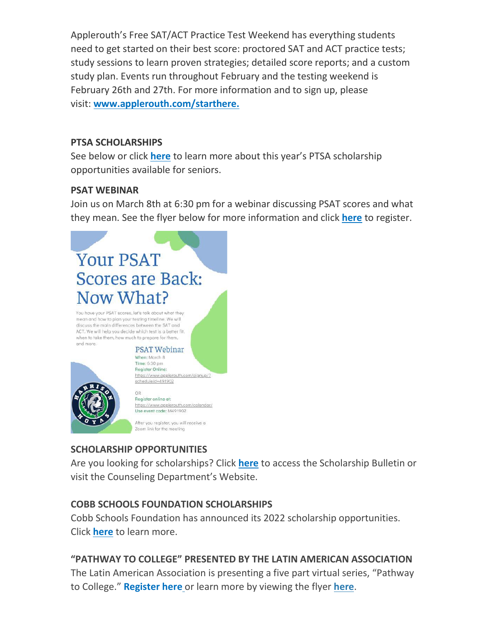Applerouth's Free SAT/ACT Practice Test Weekend has everything students need to get started on their best score: proctored SAT and ACT practice tests; study sessions to learn proven strategies; detailed score reports; and a custom study plan. Events run throughout February and the testing weekend is February 26th and 27th. For more information and to sign up, please visit: **[www.applerouth.com/starthere.](http://url503.cobbk12.org/ls/click?upn=w1gdoDmrpuqo5Pl2RhLapMQO-2FFw83aMP4YtGvZ2-2BolljvnMGuGwHy-2BohWlotZ8dqgJhW_W-2BfLYUoUwwI1tuGClKRhhPOSepcZIFoXnUIMjiA717kQ1i13BNQTwwJ9cl-2BWArXr6-2FDxoCbNFrRaplJKtN7fZ3CI1-2BfP0IOc1iCmImo8JsuCuSj2bHUiK-2BxLyEeTnbk5gP-2BmsZUUUNQdNUj1GmGmsOO9cJ29MXFsltwBN8LQl6wSKl4hTG7ZpIMhL5ZftOle0U5kKnJBnx2YLyCKTjo-2B6H-2Bz-2BpUe7WGlLDyu2JzSV-2F66zZQlnFF1GHUgg5EveudCOBqrcoErJYOXE0Hae6dyjA-3D-3D)**

#### **PTSA SCHOLARSHIPS**

See below or click **[here](http://url503.cobbk12.org/ls/click?upn=HU5K2q0Fz5ADTGboxPzOzV-2FXL0qE7BYVJk79MoYchrYNeVjNsd15TITjkWV7hwsN4TrlnN-2B4AvVJ9qUaV9IjTcV0wXOV6nJJ2UpxPKbMkLp8nmgm-2F4HKPdHvn2LiE-2Fzi1gVE_W-2BfLYUoUwwI1tuGClKRhhPOSepcZIFoXnUIMjiA717kQ1i13BNQTwwJ9cl-2BWArXr6-2FDxoCbNFrRaplJKtN7fZ3CI1-2BfP0IOc1iCmImo8JsuCuSj2bHUiK-2BxLyEeTnbk5nN8Jmsy6BC0DOCaabyi7lft4lJv1rS0l1jbyZ9-2BLpokLKOfdtxcgEUXcMBRhGSkaAxEoq3g9ipD2eD7-2FghTVsCc8b4BV8f4CFcA86KeoehLg6yyegAGJNWgMCAIXrjl76oRgKQSTRy04T67Tom7igA-3D-3D)** to learn more about this year's PTSA scholarship opportunities available for seniors.

#### **PSAT WEBINAR**

Join us on March 8th at 6:30 pm for a webinar discussing PSAT scores and what they mean. See the flyer below for more information and click **[here](http://url503.cobbk12.org/ls/click?upn=oq5wnnHoD1NAxpT8rNAGXLw-2FETaD7B57rXxVPUpGpUABXqqzHFTFlAkZhhQcHBlgJniuaN4qTrFAWiWWVPm6cw-3D-3Dua3p_W-2BfLYUoUwwI1tuGClKRhhPOSepcZIFoXnUIMjiA717kQ1i13BNQTwwJ9cl-2BWArXr6-2FDxoCbNFrRaplJKtN7fZ3CI1-2BfP0IOc1iCmImo8JsuCuSj2bHUiK-2BxLyEeTnbk5bL0RayRreD4mOyYjavGFi3EB4JgV0rpYcHQ1DIEMuB4dq1sZsUzBOh0tS9-2Fsn-2BE3Jm3wP4dF5zKhh4Jhku28KE3QnqZL7icfJA-2BMN9hCBu-2FZ4Z6Ozch21nVu7yNfTnDAcD3I9smDc8Cr8dHwhRacSg-3D-3D)** to register.

# **Your PSAT Scores are Back:** Now What?

You have your PSAT scores, let's talk about what they mean and how to plan your testing timeline. We will discuss the main differences between the SAT and ACT. We will help you decide which test is a better fit, when to take them, how much to prepare for them. and more.

#### **PSAT Webinar** When: March 8 Time: 6:30 pm Register Online:



https://www.applerouth.com/signup/? scheduleid-491902 OR

Register online at: https://www.applerouth.com/calendar/ Use event code: M491902

After you register, you will receive a Zoom link for the meeting

#### **SCHOLARSHIP OPPORTUNITIES**

Are you looking for scholarships? Click **[here](http://url503.cobbk12.org/ls/click?upn=lifxRKNE4qaF4JWLXkbAsjh7ycX9GyI4V6qRbFFivNpp-2B3syQ-2BF1CRoHOrZqfnEtQcfUXEzQ4WYketaNTGV3408V8zS1UaS9Mdiay1YDYqUko-2F7m3YIEbQY7FNUfHqgboWCU-2FMo4nH5Qc0ll4-2Ba3ag-3D-3DSQuF_W-2BfLYUoUwwI1tuGClKRhhPOSepcZIFoXnUIMjiA717kQ1i13BNQTwwJ9cl-2BWArXr6-2FDxoCbNFrRaplJKtN7fZ3CI1-2BfP0IOc1iCmImo8JsuCuSj2bHUiK-2BxLyEeTnbk5y-2BJqh4VHbGyw6GQgpEgpncc2gyN1rgMJXDlhx-2FzA8-2F5OWuZt82lYDVVm6FPKkrtkxZ1wR4dKHSl0SpWQQNUO5kuXW7PNlym8kvVTTeviiMyb2j9tWkm-2BvzswxHjRddiadqBexh4NgHJ7xaRwzM2dhg-3D-3D)** to access the Scholarship Bulletin or visit the Counseling Department's Website.

#### **COBB SCHOOLS FOUNDATION SCHOLARSHIPS**

Cobb Schools Foundation has announced its 2022 scholarship opportunities. Click **[here](http://url503.cobbk12.org/ls/click?upn=HU5K2q0Fz5ADTGboxPzOzV-2FXL0qE7BYVJk79MoYchrZ-2Ff-2FOdLvmkCHlDRa-2FCfR6GepNJjwsIv88e3tF9oGpulEhReEsKb-2B1hUFN2zj3kSymz22WtzalPFI4Qcc1cUyvSUFF3_W-2BfLYUoUwwI1tuGClKRhhPOSepcZIFoXnUIMjiA717kQ1i13BNQTwwJ9cl-2BWArXr6-2FDxoCbNFrRaplJKtN7fZ3CI1-2BfP0IOc1iCmImo8JsuCuSj2bHUiK-2BxLyEeTnbk5hnTwom4ayIWxqSSuyaziHTsi-2FIbsuHbhAlEaOcfz1zyg3fTRIxLAJxItH5C47rplX5FicNzHaPx-2BYlyhFDtZzEaQTEnYSIdjoXpg6wMt5x5LOe503si-2FAAs0Ded7hmdIxds9e2B8Ur3HWhb0OgKOqw-3D-3D)** to learn more.

#### **"PATHWAY TO COLLEGE" PRESENTED BY THE LATIN AMERICAN ASSOCIATION**

The Latin American Association is presenting a five part virtual series, "Pathway to College." **[Register](http://url503.cobbk12.org/ls/click?upn=TBkRdx4xQkNw4NvLrlJQns26mjwG08b3WUmKa9eq-2Bke-2BaBFBkUBrhszVvShaXs4wEhSyEOmyIU8N-2FJc-2FxlHTWHaZ4Fd35FpU99aRy509zxlPMZnBp5f1sA6C4JCcsZAu4j9y7l23W2EHPHnRDuCWBA-3D-3DMVmn_W-2BfLYUoUwwI1tuGClKRhhPOSepcZIFoXnUIMjiA717kQ1i13BNQTwwJ9cl-2BWArXr6-2FDxoCbNFrRaplJKtN7fZ3CI1-2BfP0IOc1iCmImo8JsuCuSj2bHUiK-2BxLyEeTnbk5QqGKOlwl5hS0UsZyUA0rBlfrc3IX2Y9M-2FRjXauA1jmtQQNzBH2jlD7RvnmltNuUAfSunzSS76CPyNoB7PkPlonBqhjZ1ggXjkxiY70oY2v9IaQ2QdQG39gij-2FS56acifqmdSIJXuhJDw5ndmMJR4Dg-3D-3D) here** or learn more by viewing the flyer **[here](http://url503.cobbk12.org/ls/click?upn=HU5K2q0Fz5ADTGboxPzOzV-2FXL0qE7BYVJk79MoYchraMNHWGo8uf9oJH4XKQ2agGbcLtrVKVuuGvW6RwEu5RdczxTw6OXNIvUGOyvS-2BdcBmSXnpux52EED4ren7eEurcqVu3_W-2BfLYUoUwwI1tuGClKRhhPOSepcZIFoXnUIMjiA717kQ1i13BNQTwwJ9cl-2BWArXr6-2FDxoCbNFrRaplJKtN7fZ3CI1-2BfP0IOc1iCmImo8JsuCuSj2bHUiK-2BxLyEeTnbk5Li-2FWIID9Xky8pliNvM-2FBpzYI-2B1W5DJVs4FF0tEW-2BnwXkZj2sVBWWIL0CU-2Fytjd09wDCSru2aYWveF1C874iqHfHV4a9RZvBfcfVZDgdK1L-2Fx6lvoVX-2BOaVB9M74yJ6vFMZILBa-2FjeVO2G-2BTo2-2BCvNA-3D-3D)**.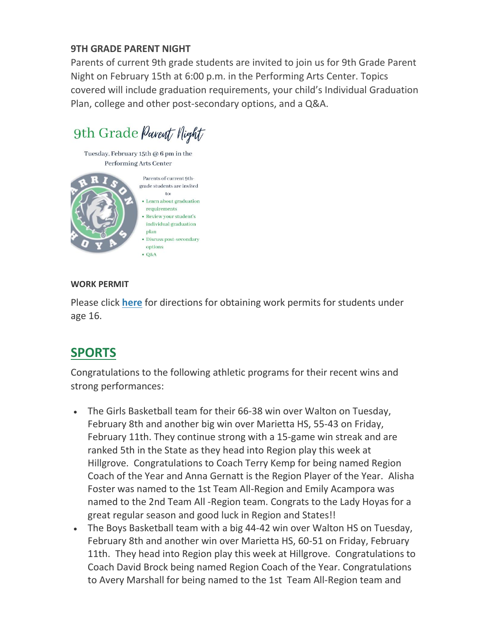#### **9TH GRADE PARENT NIGHT**

Parents of current 9th grade students are invited to join us for 9th Grade Parent Night on February 15th at 6:00 p.m. in the Performing Arts Center. Topics covered will include graduation requirements, your child's Individual Graduation Plan, college and other post-secondary options, and a Q&A.



#### **WORK PERMIT**

Please click **[here](http://url503.cobbk12.org/ls/click?upn=HU5K2q0Fz5ADTGboxPzOzV-2FXL0qE7BYVJk79MoYchragV5467tisWoPAB9agzSUHDsbqBYccGjiUhV-2FDTHAbpfQ3tb3XltUDiEnSOWDrZrU-3D1NSK_W-2BfLYUoUwwI1tuGClKRhhPOSepcZIFoXnUIMjiA717kQ1i13BNQTwwJ9cl-2BWArXr6-2FDxoCbNFrRaplJKtN7fZ3CI1-2BfP0IOc1iCmImo8JsuCuSj2bHUiK-2BxLyEeTnbk55CjspVPIsH7WZBsm-2FHNqcfyqiKmqygs8RVFO11YPGIVGi7-2BlKaKtTC8-2FMzquLAtAFd-2F6C72lvKz3t-2FmCY7AwePRLr9ZygfeeW3dSKrVtOP23depZHb6LlVQ2qUFQsQS4VfFieJQM-2BZlaMfKoo4qPTA-3D-3D)** for directions for obtaining work permits for students under age 16.

## **SPORTS**

Congratulations to the following athletic programs for their recent wins and strong performances:

- The Girls Basketball team for their 66-38 win over Walton on Tuesday, February 8th and another big win over Marietta HS, 55-43 on Friday, February 11th. They continue strong with a 15-game win streak and are ranked 5th in the State as they head into Region play this week at Hillgrove. Congratulations to Coach Terry Kemp for being named Region Coach of the Year and Anna Gernatt is the Region Player of the Year. Alisha Foster was named to the 1st Team All-Region and Emily Acampora was named to the 2nd Team All -Region team. Congrats to the Lady Hoyas for a great regular season and good luck in Region and States!!
- The Boys Basketball team with a big 44-42 win over Walton HS on Tuesday, February 8th and another win over Marietta HS, 60-51 on Friday, February 11th. They head into Region play this week at Hillgrove. Congratulations to Coach David Brock being named Region Coach of the Year. Congratulations to Avery Marshall for being named to the 1st Team All-Region team and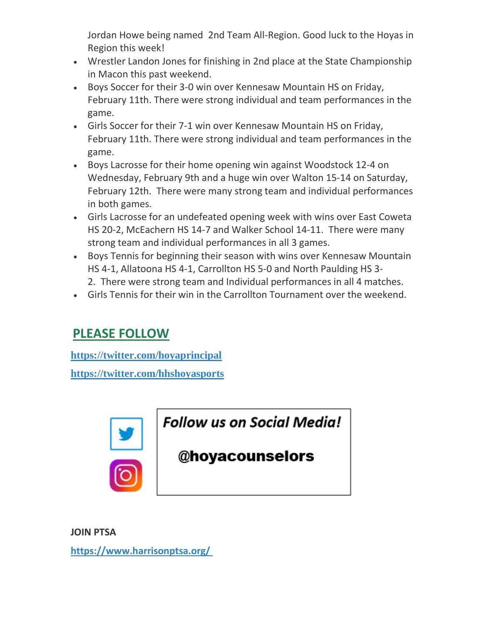Jordan Howe being named 2nd Team All-Region. Good luck to the Hoyas in Region this week!

- Wrestler Landon Jones for finishing in 2nd place at the State Championship in Macon this past weekend.
- Boys Soccer for their 3-0 win over Kennesaw Mountain HS on Friday, February 11th. There were strong individual and team performances in the game.
- Girls Soccer for their 7-1 win over Kennesaw Mountain HS on Friday, February 11th. There were strong individual and team performances in the game.
- Boys Lacrosse for their home opening win against Woodstock 12-4 on Wednesday, February 9th and a huge win over Walton 15-14 on Saturday, February 12th. There were many strong team and individual performances in both games.
- Girls Lacrosse for an undefeated opening week with wins over East Coweta HS 20-2, McEachern HS 14-7 and Walker School 14-11. There were many strong team and individual performances in all 3 games.
- Boys Tennis for beginning their season with wins over Kennesaw Mountain HS 4-1, Allatoona HS 4-1, Carrollton HS 5-0 and North Paulding HS 3- 2. There were strong team and Individual performances in all 4 matches.
- Girls Tennis for their win in the Carrollton Tournament over the weekend.

## **PLEASE FOLLOW**

**[https://twitter.com/hoyaprincipal](http://url503.cobbk12.org/ls/click?upn=Q-2BKaVIKfS2AqG1NntRWXImXNf49-2Fa0XLVWXgC2OaD3eYKqynJ772HQBgX-2BTS9v7Wkg6hDlDEhqY9O5C0xw5u4wzx-2FVT7GJBN4VxchsI9o1gMCPGZqbrCGQbrK9th1DpVNpRZMB-2Befq-2BO0LrpHLPx82AfwiNRrpeNnPC7rNKkbTOIc08xpyNOgPK1fTuSRau29s6Jvr1q5mMKqc2zLUJ2DJvUpLZeptJaXBPC3fCjgZZFEgRcUh4jITkJ-2BpvbV-2BprYLH-2BiiMyEs2jjJUfLvPRgC4K-2BiWJXfBJUt844M-2Fio7yAl-2Bhd8XOPVGZrOl4R4XrvApD-2B8J-2B40OjUt-2FPJha6sfvNvdW6kL-2FcjBLNGB37VXUXiIa2YpN7qFBOC1B4tgW-2BVcrgLKUuI6miauFTSu7XvT2QxrGHH7g1RrBT3sUFNX8g-3DuMME_W-2BfLYUoUwwI1tuGClKRhhPOSepcZIFoXnUIMjiA717kQ1i13BNQTwwJ9cl-2BWArXr6-2FDxoCbNFrRaplJKtN7fZ3CI1-2BfP0IOc1iCmImo8JsuCuSj2bHUiK-2BxLyEeTnbk5OcLT7LFQ-2FuRl0Kx6BfiJnLkVaekD6k7jOdty3mwxHZUZ3YVOEnZJz8dPKnAwd-2FGmWCEKT7rcepisQeTXFOrHxX5K4Uj5rl84-2BQdWV8jSPFMecudMynLSrkwJxbUpXQeOvUc64VnjKCcqRGXQ00OPIQ-3D-3D)**

**[https://twitter.com/hhshoyasports](http://url503.cobbk12.org/ls/click?upn=Q-2BKaVIKfS2AqG1NntRWXImXNf49-2Fa0XLVWXgC2OaD3eYKqynJ772HQBgX-2BTS9v7Wkg6hDlDEhqY9O5C0xw5u4wzx-2FVT7GJBN4VxchsI9o1i4c0-2FQSTK8X5OIWLnbybRI4xXbTuu6dbCMzwTwldDn8Zb-2FmZfrrxPtkzyT2s6fQ0ym-2FV0B09hx6QLoBTXDXATknw1fd1fkehQfqRddnFRm7OiNEli12Ut8iY3ylkOwJEWTUwM1SCPEZqk2U8UAfwWb-2FyqTx7lwUtSHkXcRihmIUp0le2gXMsi1CwH6WOwbQtY7hOaojBlB48oigYOMxgfL4-2BCq6ofT0DyFXygF7lpw3yhW4TL0LtuuUEA4X38B-2BZbNA6fhN-2B6xbcBW0zMy95E-2FXvPJ-2Fbif8WmDRhZCJHffV7n6XBwdmW8vcmqsRJ43l4w-3Dh-BC_W-2BfLYUoUwwI1tuGClKRhhPOSepcZIFoXnUIMjiA717kQ1i13BNQTwwJ9cl-2BWArXr6-2FDxoCbNFrRaplJKtN7fZ3CI1-2BfP0IOc1iCmImo8JsuCuSj2bHUiK-2BxLyEeTnbk5ORohoYWjRz9qYYCTxf009hCgPk-2FnFPiyqM1UcmXxCmHkNmD1wl3cNwwOkaQeMqyK0Uevsb8RuaBtmRtExqGndNRRQ8qRosx4JzfyTyCa-2FztixzaF08OA6Kzx6hcdCLjYb5EXW5SXevoC7cO4tB0ybQ-3D-3D)**



# **Follow us on Social Media!**

@hoyacounselors

**JOIN PTSA**

**[https://www.harrisonptsa.org/](http://url503.cobbk12.org/ls/click?upn=oq5wnnHoD1NAxpT8rNAGXJWwsG5b-2FroT1CF2NF6Yld31lJ8koaDYCo834Pbyx8MiEeO4_W-2BfLYUoUwwI1tuGClKRhhPOSepcZIFoXnUIMjiA717kQ1i13BNQTwwJ9cl-2BWArXr6-2FDxoCbNFrRaplJKtN7fZ3CI1-2BfP0IOc1iCmImo8JsuCuSj2bHUiK-2BxLyEeTnbk5KMeMZBZatTEslRDtt8ujr4ZM1Se8zVbuguftCxcTcjviXTuxxTGL7LDCGEUPSx6TB-2Bk7F0dYHm7JMWm1ONFVEw5lGz8fh0FoO7rfUr2IMh7nUD7e8Kqys-2F2a60iVlh8OUnz3x98xcMaIlK5AWUOuTQ-3D-3D)**